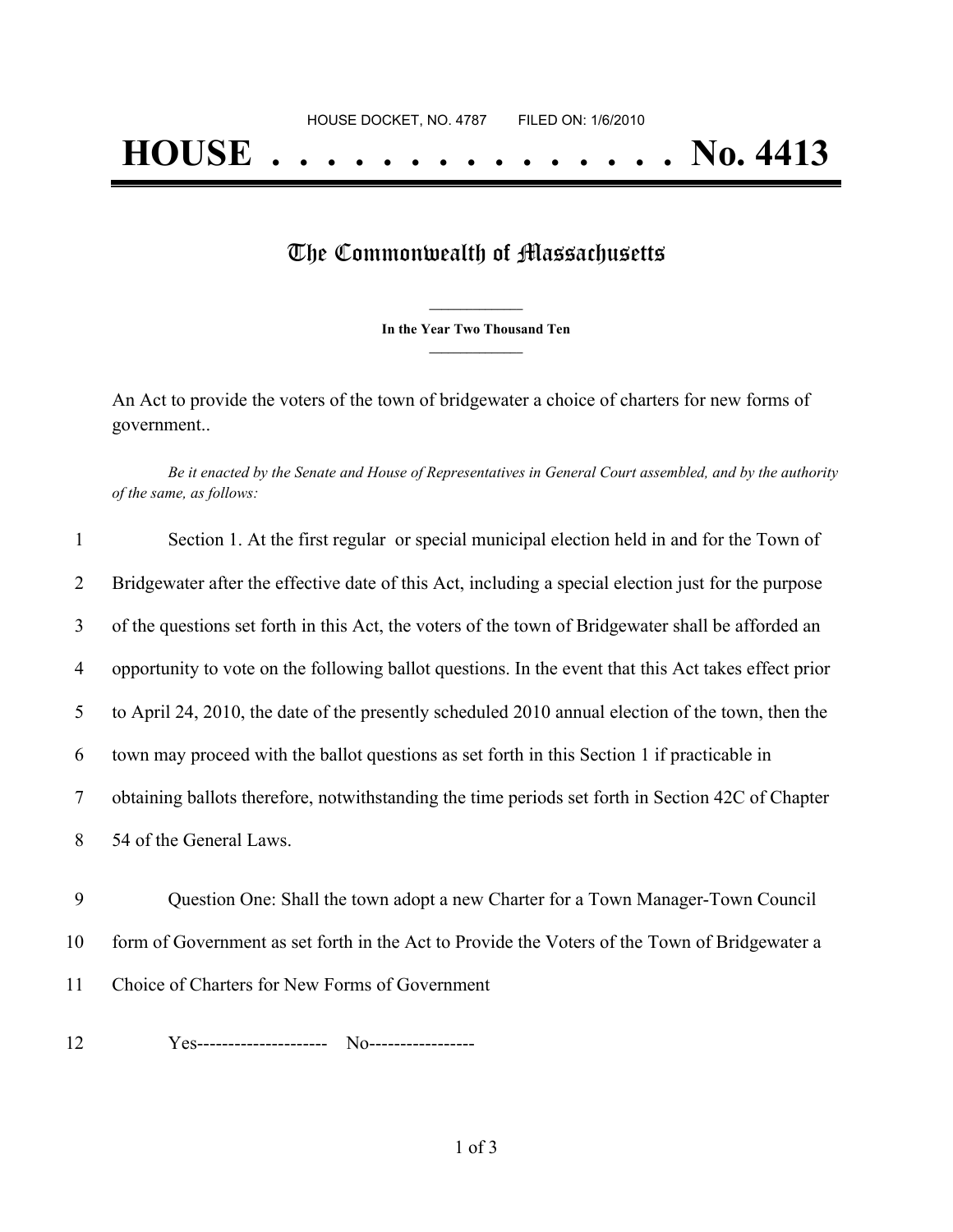## The Commonwealth of Massachusetts

**\_\_\_\_\_\_\_\_\_\_\_\_\_\_\_ In the Year Two Thousand Ten \_\_\_\_\_\_\_\_\_\_\_\_\_\_\_**

An Act to provide the voters of the town of bridgewater a choice of charters for new forms of government..

Be it enacted by the Senate and House of Representatives in General Court assembled, and by the authority *of the same, as follows:*

| 1  | Section 1. At the first regular or special municipal election held in and for the Town of            |
|----|------------------------------------------------------------------------------------------------------|
| 2  | Bridgewater after the effective date of this Act, including a special election just for the purpose  |
| 3  | of the questions set forth in this Act, the voters of the town of Bridgewater shall be afforded an   |
| 4  | opportunity to vote on the following ballot questions. In the event that this Act takes effect prior |
| 5  | to April 24, 2010, the date of the presently scheduled 2010 annual election of the town, then the    |
| 6  | town may proceed with the ballot questions as set forth in this Section 1 if practicable in          |
| 7  | obtaining ballots therefore, notwithstanding the time periods set forth in Section 42C of Chapter    |
| 8  | 54 of the General Laws.                                                                              |
| 9  | Question One: Shall the town adopt a new Charter for a Town Manager-Town Council                     |
| 10 | form of Government as set forth in the Act to Provide the Voters of the Town of Bridgewater a        |
| 11 | Choice of Charters for New Forms of Government                                                       |
| 12 |                                                                                                      |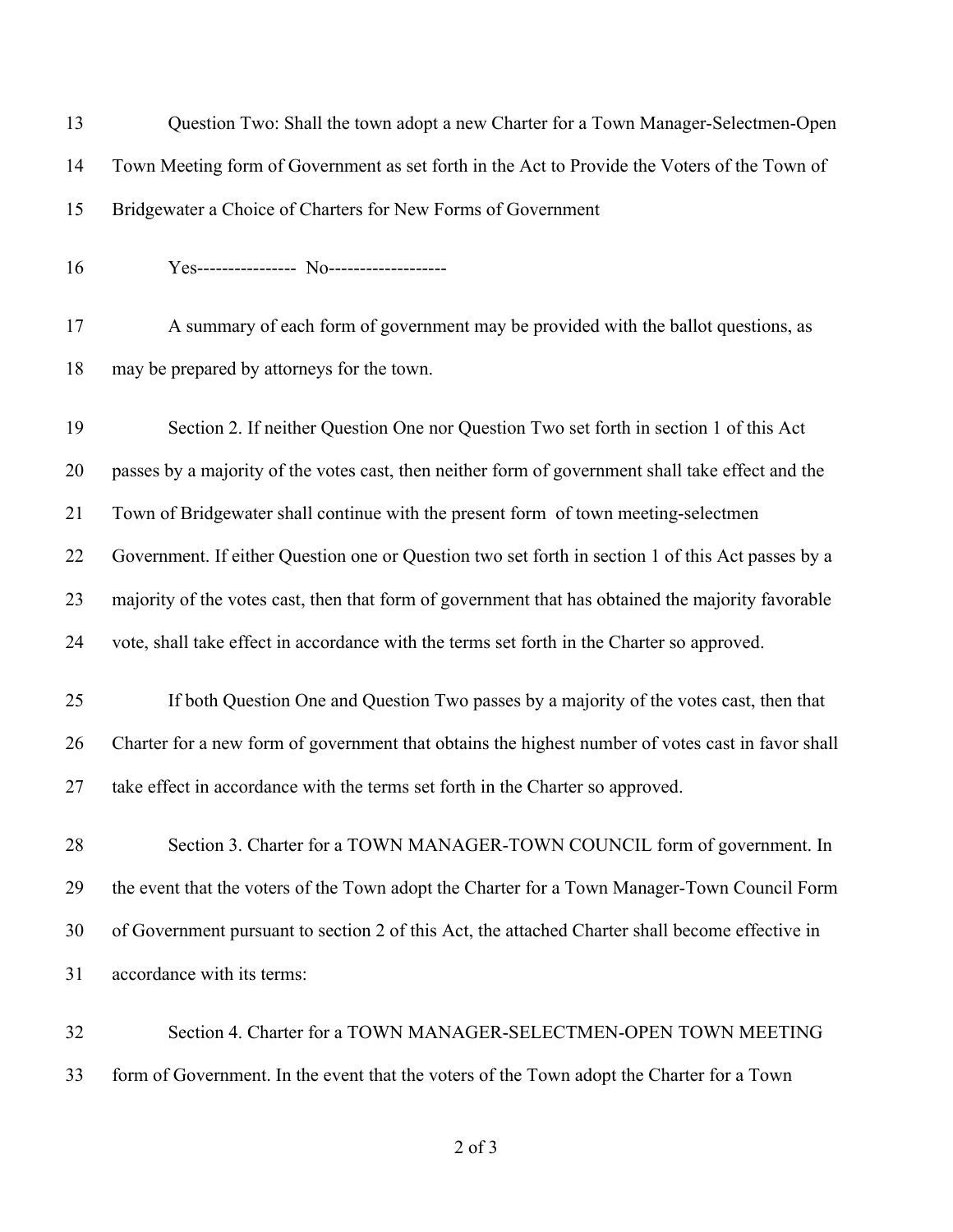| 13 | Question Two: Shall the town adopt a new Charter for a Town Manager-Selectmen-Open                |
|----|---------------------------------------------------------------------------------------------------|
| 14 | Town Meeting form of Government as set forth in the Act to Provide the Voters of the Town of      |
| 15 | Bridgewater a Choice of Charters for New Forms of Government                                      |
| 16 | Yes---------------- No------------------                                                          |
| 17 | A summary of each form of government may be provided with the ballot questions, as                |
| 18 | may be prepared by attorneys for the town.                                                        |
| 19 | Section 2. If neither Question One nor Question Two set forth in section 1 of this Act            |
| 20 | passes by a majority of the votes cast, then neither form of government shall take effect and the |
| 21 | Town of Bridgewater shall continue with the present form of town meeting-selectmen                |
| 22 | Government. If either Question one or Question two set forth in section 1 of this Act passes by a |
| 23 | majority of the votes cast, then that form of government that has obtained the majority favorable |
| 24 | vote, shall take effect in accordance with the terms set forth in the Charter so approved.        |
| 25 | If both Question One and Question Two passes by a majority of the votes cast, then that           |
| 26 | Charter for a new form of government that obtains the highest number of votes cast in favor shall |
| 27 | take effect in accordance with the terms set forth in the Charter so approved.                    |
| 28 | Section 3. Charter for a TOWN MANAGER-TOWN COUNCIL form of government. In                         |
| 29 | the event that the voters of the Town adopt the Charter for a Town Manager-Town Council Form      |
| 30 | of Government pursuant to section 2 of this Act, the attached Charter shall become effective in   |
| 31 | accordance with its terms:                                                                        |
| 32 | Section 4. Charter for a TOWN MANAGER-SELECTMEN-OPEN TOWN MEETING                                 |
| 33 | form of Government. In the event that the voters of the Town adopt the Charter for a Town         |

of 3